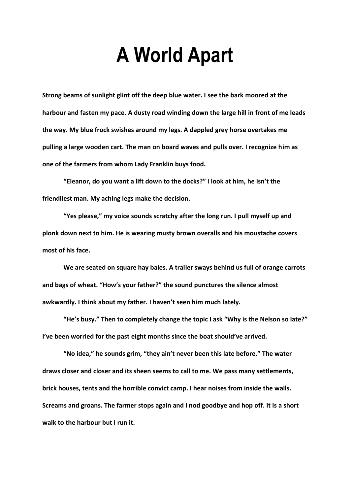# **A World Apart**

**Strong beams of sunlight glint off the deep blue water. I see the bark moored at the harbour and fasten my pace. A dusty road winding down the large hill in front of me leads the way. My blue frock swishes around my legs. A dappled grey horse overtakes me pulling a large wooden cart. The man on board waves and pulls over. I recognize him as one of the farmers from whom Lady Franklin buys food.**

**"Eleanor, do you want a lift down to the docks?" I look at him, he isn't the friendliest man. My aching legs make the decision.** 

**"Yes please," my voice sounds scratchy after the long run. I pull myself up and plonk down next to him. He is wearing musty brown overalls and his moustache covers most of his face.**

**We are seated on square hay bales. A trailer sways behind us full of orange carrots and bags of wheat. "How's your father?" the sound punctures the silence almost awkwardly. I think about my father. I haven't seen him much lately.**

**"He's busy." Then to completely change the topic I ask "Why is the Nelson so late?" I've been worried for the past eight months since the boat should've arrived.** 

**"No idea," he sounds grim, "they ain't never been this late before." The water draws closer and closer and its sheen seems to call to me. We pass many settlements, brick houses, tents and the horrible convict camp. I hear noises from inside the walls. Screams and groans. The farmer stops again and I nod goodbye and hop off. It is a short walk to the harbour but I run it.**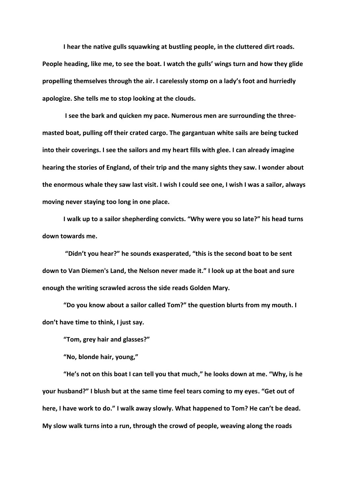**I hear the native gulls squawking at bustling people, in the cluttered dirt roads. People heading, like me, to see the boat. I watch the gulls' wings turn and how they glide propelling themselves through the air. I carelessly stomp on a lady's foot and hurriedly apologize. She tells me to stop looking at the clouds.**

**I see the bark and quicken my pace. Numerous men are surrounding the threemasted boat, pulling off their crated cargo. The gargantuan white sails are being tucked into their coverings. I see the sailors and my heart fills with glee. I can already imagine hearing the stories of England, of their trip and the many sights they saw. I wonder about the enormous whale they saw last visit. I wish I could see one, I wish I was a sailor, always moving never staying too long in one place.**

**I walk up to a sailor shepherding convicts. "Why were you so late?" his head turns down towards me.**

**"Didn't you hear?" he sounds exasperated, "this is the second boat to be sent down to Van Diemen's Land, the Nelson never made it." I look up at the boat and sure enough the writing scrawled across the side reads Golden Mary.**

**"Do you know about a sailor called Tom?" the question blurts from my mouth. I don't have time to think, I just say.**

**"Tom, grey hair and glasses?"**

**"No, blonde hair, young,"** 

**"He's not on this boat I can tell you that much," he looks down at me. "Why, is he your husband?" I blush but at the same time feel tears coming to my eyes. "Get out of here, I have work to do." I walk away slowly. What happened to Tom? He can't be dead. My slow walk turns into a run, through the crowd of people, weaving along the roads**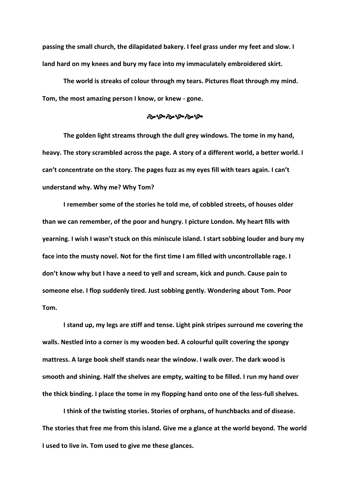**passing the small church, the dilapidated bakery. I feel grass under my feet and slow. I land hard on my knees and bury my face into my immaculately embroidered skirt.** 

**The world is streaks of colour through my tears. Pictures float through my mind. Tom, the most amazing person I know, or knew - gone.** 

## موءرج موءحي موجود

**The golden light streams through the dull grey windows. The tome in my hand, heavy. The story scrambled across the page. A story of a different world, a better world. I can't concentrate on the story. The pages fuzz as my eyes fill with tears again. I can't understand why. Why me? Why Tom?** 

**I remember some of the stories he told me, of cobbled streets, of houses older than we can remember, of the poor and hungry. I picture London. My heart fills with yearning. I wish I wasn't stuck on this miniscule island. I start sobbing louder and bury my face into the musty novel. Not for the first time I am filled with uncontrollable rage. I don't know why but I have a need to yell and scream, kick and punch. Cause pain to someone else. I flop suddenly tired. Just sobbing gently. Wondering about Tom. Poor Tom.**

**I stand up, my legs are stiff and tense. Light pink stripes surround me covering the walls. Nestled into a corner is my wooden bed. A colourful quilt covering the spongy mattress. A large book shelf stands near the window. I walk over. The dark wood is smooth and shining. Half the shelves are empty, waiting to be filled. I run my hand over the thick binding. I place the tome in my flopping hand onto one of the less-full shelves.**

**I think of the twisting stories. Stories of orphans, of hunchbacks and of disease. The stories that free me from this island. Give me a glance at the world beyond. The world I used to live in. Tom used to give me these glances.**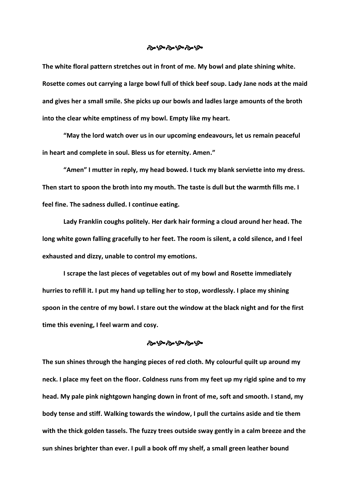#### ನ್ನುಳುಳುಳು

**The white floral pattern stretches out in front of me. My bowl and plate shining white. Rosette comes out carrying a large bowl full of thick beef soup. Lady Jane nods at the maid and gives her a small smile. She picks up our bowls and ladles large amounts of the broth into the clear white emptiness of my bowl. Empty like my heart.** 

**"May the lord watch over us in our upcoming endeavours, let us remain peaceful in heart and complete in soul. Bless us for eternity. Amen."**

**"Amen" I mutter in reply, my head bowed. I tuck my blank serviette into my dress. Then start to spoon the broth into my mouth. The taste is dull but the warmth fills me. I feel fine. The sadness dulled. I continue eating.** 

**Lady Franklin coughs politely. Her dark hair forming a cloud around her head. The long white gown falling gracefully to her feet. The room is silent, a cold silence, and I feel exhausted and dizzy, unable to control my emotions.**

**I scrape the last pieces of vegetables out of my bowl and Rosette immediately hurries to refill it. I put my hand up telling her to stop, wordlessly. I place my shining spoon in the centre of my bowl. I stare out the window at the black night and for the first time this evening, I feel warm and cosy.**

#### ಳುಳುಳುಳುಳು

**The sun shines through the hanging pieces of red cloth. My colourful quilt up around my neck. I place my feet on the floor. Coldness runs from my feet up my rigid spine and to my head. My pale pink nightgown hanging down in front of me, soft and smooth. I stand, my body tense and stiff. Walking towards the window, I pull the curtains aside and tie them with the thick golden tassels. The fuzzy trees outside sway gently in a calm breeze and the sun shines brighter than ever. I pull a book off my shelf, a small green leather bound**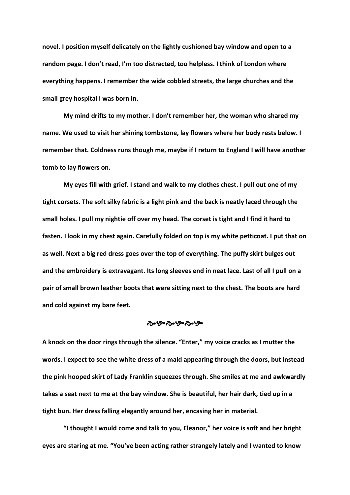**novel. I position myself delicately on the lightly cushioned bay window and open to a random page. I don't read, I'm too distracted, too helpless. I think of London where everything happens. I remember the wide cobbled streets, the large churches and the small grey hospital I was born in.** 

**My mind drifts to my mother. I don't remember her, the woman who shared my name. We used to visit her shining tombstone, lay flowers where her body rests below. I remember that. Coldness runs though me, maybe if I return to England I will have another tomb to lay flowers on.** 

**My eyes fill with grief. I stand and walk to my clothes chest. I pull out one of my tight corsets. The soft silky fabric is a light pink and the back is neatly laced through the small holes. I pull my nightie off over my head. The corset is tight and I find it hard to fasten. I look in my chest again. Carefully folded on top is my white petticoat. I put that on as well. Next a big red dress goes over the top of everything. The puffy skirt bulges out and the embroidery is extravagant. Its long sleeves end in neat lace. Last of all I pull on a pair of small brown leather boots that were sitting next to the chest. The boots are hard and cold against my bare feet.**

#### ೀಳಿತುಳಿತುಳಿ

**A knock on the door rings through the silence. "Enter," my voice cracks as I mutter the words. I expect to see the white dress of a maid appearing through the doors, but instead the pink hooped skirt of Lady Franklin squeezes through. She smiles at me and awkwardly takes a seat next to me at the bay window. She is beautiful, her hair dark, tied up in a tight bun. Her dress falling elegantly around her, encasing her in material.**

**"I thought I would come and talk to you, Eleanor," her voice is soft and her bright eyes are staring at me. "You've been acting rather strangely lately and I wanted to know**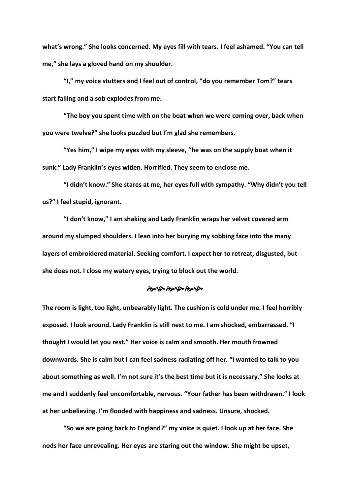**what's wrong." She looks concerned. My eyes fill with tears. I feel ashamed. "You can tell me," she lays a gloved hand on my shoulder.** 

**"I," my voice stutters and I feel out of control, "do you remember Tom?" tears start falling and a sob explodes from me.**

**"The boy you spent time with on the boat when we were coming over, back when you were twelve?" she looks puzzled but I'm glad she remembers.**

**"Yes him," I wipe my eyes with my sleeve, "he was on the supply boat when it sunk." Lady Franklin's eyes widen. Horrified. They seem to enclose me.** 

**"I didn't know." She stares at me, her eyes full with sympathy. "Why didn't you tell us?" I feel stupid, ignorant.**

**"I don't know," I am shaking and Lady Franklin wraps her velvet covered arm around my slumped shoulders. I lean into her burying my sobbing face into the many layers of embroidered material. Seeking comfort. I expect her to retreat, disgusted, but she does not. I close my watery eyes, trying to block out the world.**

#### وبارج وحيارج وحيارج

**The room is light, too light, unbearably light. The cushion is cold under me. I feel horribly exposed. I look around. Lady Franklin is still next to me. I am shocked, embarrassed. "I thought I would let you rest." Her voice is calm and smooth. Her mouth frowned downwards. She is calm but I can feel sadness radiating off her. "I wanted to talk to you about something as well. I'm not sure it's the best time but it is necessary." She looks at me and I suddenly feel uncomfortable, nervous. "Your father has been withdrawn." I look at her unbelieving. I'm flooded with happiness and sadness. Unsure, shocked.**

**"So we are going back to England?" my voice is quiet. I look up at her face. She nods her face unrevealing. Her eyes are staring out the window. She might be upset,**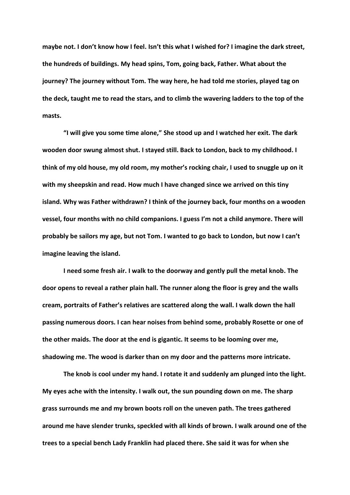**maybe not. I don't know how I feel. Isn't this what I wished for? I imagine the dark street, the hundreds of buildings. My head spins, Tom, going back, Father. What about the journey? The journey without Tom. The way here, he had told me stories, played tag on the deck, taught me to read the stars, and to climb the wavering ladders to the top of the masts.**

**"I will give you some time alone," She stood up and I watched her exit. The dark wooden door swung almost shut. I stayed still. Back to London, back to my childhood. I think of my old house, my old room, my mother's rocking chair, I used to snuggle up on it with my sheepskin and read. How much I have changed since we arrived on this tiny island. Why was Father withdrawn? I think of the journey back, four months on a wooden vessel, four months with no child companions. I guess I'm not a child anymore. There will probably be sailors my age, but not Tom. I wanted to go back to London, but now I can't imagine leaving the island.** 

**I need some fresh air. I walk to the doorway and gently pull the metal knob. The door opens to reveal a rather plain hall. The runner along the floor is grey and the walls cream, portraits of Father's relatives are scattered along the wall. I walk down the hall passing numerous doors. I can hear noises from behind some, probably Rosette or one of the other maids. The door at the end is gigantic. It seems to be looming over me, shadowing me. The wood is darker than on my door and the patterns more intricate.** 

**The knob is cool under my hand. I rotate it and suddenly am plunged into the light. My eyes ache with the intensity. I walk out, the sun pounding down on me. The sharp grass surrounds me and my brown boots roll on the uneven path. The trees gathered around me have slender trunks, speckled with all kinds of brown. I walk around one of the trees to a special bench Lady Franklin had placed there. She said it was for when she**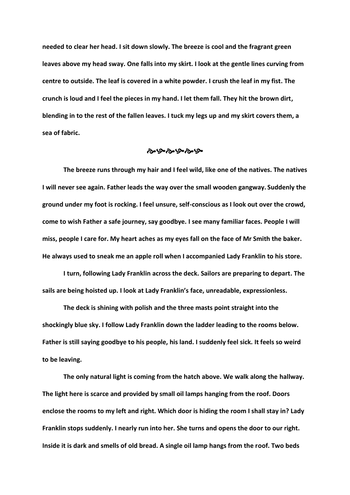**needed to clear her head. I sit down slowly. The breeze is cool and the fragrant green leaves above my head sway. One falls into my skirt. I look at the gentle lines curving from centre to outside. The leaf is covered in a white powder. I crush the leaf in my fist. The crunch is loud and I feel the pieces in my hand. I let them fall. They hit the brown dirt, blending in to the rest of the fallen leaves. I tuck my legs up and my skirt covers them, a sea of fabric.**

#### ৼ৸৻ঽ৽৻ঽ৽৻ঽ৽৻

**The breeze runs through my hair and I feel wild, like one of the natives. The natives I will never see again. Father leads the way over the small wooden gangway. Suddenly the ground under my foot is rocking. I feel unsure, self-conscious as I look out over the crowd, come to wish Father a safe journey, say goodbye. I see many familiar faces. People I will miss, people I care for. My heart aches as my eyes fall on the face of Mr Smith the baker. He always used to sneak me an apple roll when I accompanied Lady Franklin to his store.**

**I turn, following Lady Franklin across the deck. Sailors are preparing to depart. The sails are being hoisted up. I look at Lady Franklin's face, unreadable, expressionless.**

**The deck is shining with polish and the three masts point straight into the shockingly blue sky. I follow Lady Franklin down the ladder leading to the rooms below. Father is still saying goodbye to his people, his land. I suddenly feel sick. It feels so weird to be leaving.** 

**The only natural light is coming from the hatch above. We walk along the hallway. The light here is scarce and provided by small oil lamps hanging from the roof. Doors enclose the rooms to my left and right. Which door is hiding the room I shall stay in? Lady Franklin stops suddenly. I nearly run into her. She turns and opens the door to our right. Inside it is dark and smells of old bread. A single oil lamp hangs from the roof. Two beds**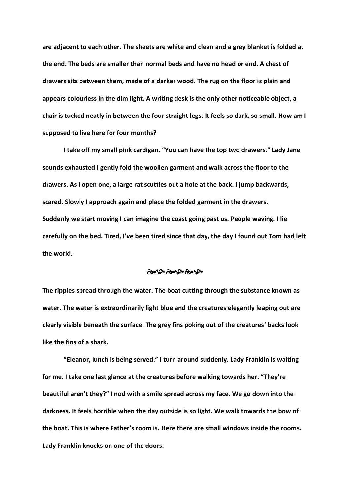**are adjacent to each other. The sheets are white and clean and a grey blanket is folded at the end. The beds are smaller than normal beds and have no head or end. A chest of drawers sits between them, made of a darker wood. The rug on the floor is plain and appears colourless in the dim light. A writing desk is the only other noticeable object, a chair is tucked neatly in between the four straight legs. It feels so dark, so small. How am I supposed to live here for four months?** 

**I take off my small pink cardigan. "You can have the top two drawers." Lady Jane sounds exhausted I gently fold the woollen garment and walk across the floor to the drawers. As I open one, a large rat scuttles out a hole at the back. I jump backwards, scared. Slowly I approach again and place the folded garment in the drawers. Suddenly we start moving I can imagine the coast going past us. People waving. I lie carefully on the bed. Tired, I've been tired since that day, the day I found out Tom had left the world.** 

#### ಳುಳುಳುಳುಳಿ

**The ripples spread through the water. The boat cutting through the substance known as water. The water is extraordinarily light blue and the creatures elegantly leaping out are clearly visible beneath the surface. The grey fins poking out of the creatures' backs look like the fins of a shark.**

**"Eleanor, lunch is being served." I turn around suddenly. Lady Franklin is waiting for me. I take one last glance at the creatures before walking towards her. "They're beautiful aren't they?" I nod with a smile spread across my face. We go down into the darkness. It feels horrible when the day outside is so light. We walk towards the bow of the boat. This is where Father's room is. Here there are small windows inside the rooms. Lady Franklin knocks on one of the doors.**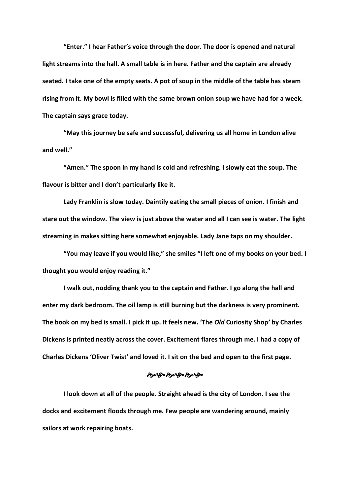**"Enter." I hear Father's voice through the door. The door is opened and natural light streams into the hall. A small table is in here. Father and the captain are already seated. I take one of the empty seats. A pot of soup in the middle of the table has steam rising from it. My bowl is filled with the same brown onion soup we have had for a week. The captain says grace today.**

**"May this journey be safe and successful, delivering us all home in London alive and well."** 

**"Amen." The spoon in my hand is cold and refreshing. I slowly eat the soup. The flavour is bitter and I don't particularly like it.** 

**Lady Franklin is slow today. Daintily eating the small pieces of onion. I finish and stare out the window. The view is just above the water and all I can see is water. The light streaming in makes sitting here somewhat enjoyable. Lady Jane taps on my shoulder.**

**"You may leave if you would like," she smiles "I left one of my books on your bed. I thought you would enjoy reading it."**

**I walk out, nodding thank you to the captain and Father. I go along the hall and enter my dark bedroom. The oil lamp is still burning but the darkness is very prominent. The book on my bed is small. I pick it up. It feels new. 'The** *Old* **Curiosity Shop***'* **by Charles Dickens is printed neatly across the cover. Excitement flares through me. I had a copy of Charles Dickens 'Oliver Twist' and loved it. I sit on the bed and open to the first page.**

#### ಳುಹೆಳಿತುಳಿತು

**I look down at all of the people. Straight ahead is the city of London. I see the docks and excitement floods through me. Few people are wandering around, mainly sailors at work repairing boats.**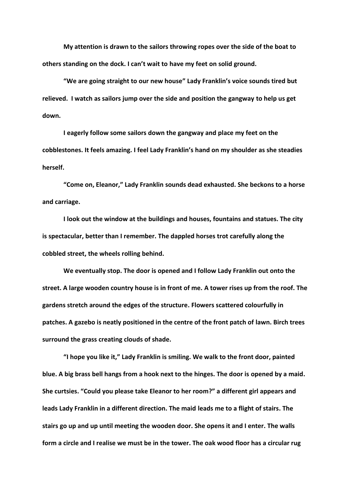**My attention is drawn to the sailors throwing ropes over the side of the boat to others standing on the dock. I can't wait to have my feet on solid ground.** 

**"We are going straight to our new house" Lady Franklin's voice sounds tired but relieved. I watch as sailors jump over the side and position the gangway to help us get down.** 

**I eagerly follow some sailors down the gangway and place my feet on the cobblestones. It feels amazing. I feel Lady Franklin's hand on my shoulder as she steadies herself.** 

**"Come on, Eleanor," Lady Franklin sounds dead exhausted. She beckons to a horse and carriage.** 

**I look out the window at the buildings and houses, fountains and statues. The city is spectacular, better than I remember. The dappled horses trot carefully along the cobbled street, the wheels rolling behind.** 

**We eventually stop. The door is opened and I follow Lady Franklin out onto the street. A large wooden country house is in front of me. A tower rises up from the roof. The gardens stretch around the edges of the structure. Flowers scattered colourfully in patches. A gazebo is neatly positioned in the centre of the front patch of lawn. Birch trees surround the grass creating clouds of shade.** 

**"I hope you like it," Lady Franklin is smiling. We walk to the front door, painted blue. A big brass bell hangs from a hook next to the hinges. The door is opened by a maid. She curtsies. "Could you please take Eleanor to her room?" a different girl appears and leads Lady Franklin in a different direction. The maid leads me to a flight of stairs. The stairs go up and up until meeting the wooden door. She opens it and I enter. The walls form a circle and I realise we must be in the tower. The oak wood floor has a circular rug**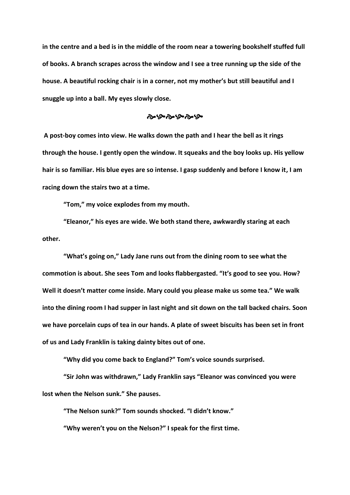**in the centre and a bed is in the middle of the room near a towering bookshelf stuffed full of books. A branch scrapes across the window and I see a tree running up the side of the house. A beautiful rocking chair** i**s in a corner, not my mother's but still beautiful and I snuggle up into a ball. My eyes slowly close.**

## موءح موءح موءحو

**A post-boy comes into view. He walks down the path and I hear the bell as it rings through the house. I gently open the window. It squeaks and the boy looks up. His yellow hair is so familiar. His blue eyes are so intense. I gasp suddenly and before I know it, I am racing down the stairs two at a time.**

**"Tom," my voice explodes from my mouth.**

**"Eleanor," his eyes are wide. We both stand there, awkwardly staring at each other.**

**"What's going on," Lady Jane runs out from the dining room to see what the commotion is about. She sees Tom and looks flabbergasted. "It's good to see you. How? Well it doesn't matter come inside. Mary could you please make us some tea." We walk into the dining room I had supper in last night and sit down on the tall backed chairs. Soon we have porcelain cups of tea in our hands. A plate of sweet biscuits has been set in front of us and Lady Franklin is taking dainty bites out of one.** 

**"Why did you come back to England?" Tom's voice sounds surprised.**

**"Sir John was withdrawn," Lady Franklin says "Eleanor was convinced you were lost when the Nelson sunk." She pauses.**

**"The Nelson sunk?" Tom sounds shocked. "I didn't know."**

**"Why weren't you on the Nelson?" I speak for the first time.**